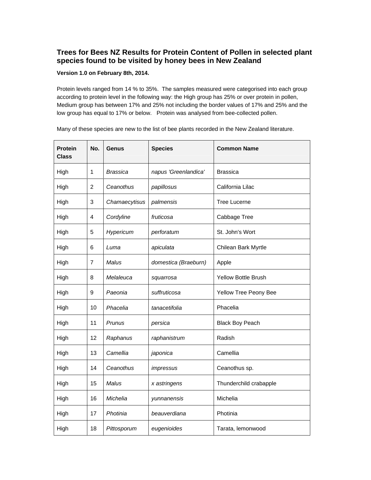## **Trees for Bees NZ Results for Protein Content of Pollen in selected plant species found to be visited by honey bees in New Zealand**

## **Version 1.0 on February 8th, 2014.**

Protein levels ranged from 14 % to 35%. The samples measured were categorised into each group according to protein level in the following way: the High group has 25% or over protein in pollen, Medium group has between 17% and 25% not including the border values of 17% and 25% and the low group has equal to 17% or below. Protein was analysed from bee-collected pollen.

Many of these species are new to the list of bee plants recorded in the New Zealand literature.

| <b>Protein</b><br><b>Class</b> | No.            | Genus           | <b>Species</b>       | <b>Common Name</b>     |
|--------------------------------|----------------|-----------------|----------------------|------------------------|
| High                           | $\mathbf{1}$   | <b>Brassica</b> | napus 'Greenlandica' | <b>Brassica</b>        |
| High                           | $\overline{2}$ | Ceanothus       | papillosus           | California Lilac       |
| High                           | 3              | Chamaecytisus   | palmensis            | <b>Tree Lucerne</b>    |
| High                           | 4              | Cordyline       | fruticosa            | Cabbage Tree           |
| High                           | 5              | Hypericum       | perforatum           | St. John's Wort        |
| High                           | 6              | Luma            | apiculata            | Chilean Bark Myrtle    |
| High                           | $\overline{7}$ | Malus           | domestica (Braeburn) | Apple                  |
| High                           | 8              | Melaleuca       | squarrosa            | Yellow Bottle Brush    |
| High                           | 9              | Paeonia         | suffruticosa         | Yellow Tree Peony Bee  |
| High                           | 10             | Phacelia        | tanacetifolia        | Phacelia               |
| High                           | 11             | Prunus          | persica              | <b>Black Boy Peach</b> |
| High                           | 12             | Raphanus        | raphanistrum         | Radish                 |
| High                           | 13             | Camellia        | japonica             | Camellia               |
| High                           | 14             | Ceanothus       | impressus            | Ceanothus sp.          |
| High                           | 15             | Malus           | x astringens         | Thunderchild crabapple |
| High                           | 16             | Michelia        | yunnanensis          | Michelia               |
| High                           | 17             | Photinia        | beauverdiana         | Photinia               |
| High                           | 18             | Pittosporum     | eugenioides          | Tarata, lemonwood      |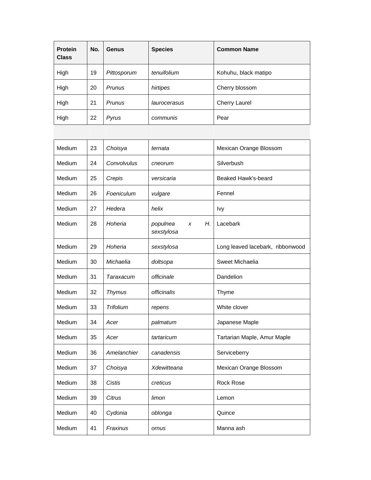| <b>Protein</b><br><b>Class</b> | No. | <b>Genus</b>  | <b>Species</b> | <b>Common Name</b>   |
|--------------------------------|-----|---------------|----------------|----------------------|
| High                           | 19  | Pittosporum   | tenuifolium    | Kohuhu, black matipo |
| High                           | 20  | Prunus        | hirtipes       | Cherry blossom       |
| High                           | 21  | <b>Prunus</b> | laurocerasus   | <b>Cherry Laurel</b> |
| High                           | 22  | Pyrus         | communis       | Pear                 |

| Medium | 23 | Choisya          | ternata                           | Mexican Orange Blossom           |
|--------|----|------------------|-----------------------------------|----------------------------------|
| Medium | 24 | Convolvulus      | cneorum                           | Silverbush                       |
| Medium | 25 | Crepis           | versicaria                        | Beaked Hawk's-beard              |
| Medium | 26 | Foeniculum       | vulgare                           | Fennel                           |
| Medium | 27 | Hedera           | helix                             | Ivy                              |
| Medium | 28 | Hoheria          | populnea<br>Н.<br>x<br>sexstylosa | Lacebark                         |
| Medium | 29 | Hoheria          | sexstylosa                        | Long leaved lacebark, ribbonwood |
| Medium | 30 | Michaelia        | doltsopa                          | Sweet Michaelia                  |
| Medium | 31 | Taraxacum        | officinale                        | Dandelion                        |
| Medium | 32 | <b>Thymus</b>    | officinalis                       | Thyme                            |
| Medium | 33 | <b>Trifolium</b> | repens                            | White clover                     |
| Medium | 34 | Acer             | palmatum                          | Japanese Maple                   |
| Medium | 35 | Acer             | tartaricum                        | Tartarian Maple, Amur Maple      |
| Medium | 36 | Amelanchier      | canadensis                        | Serviceberry                     |
| Medium | 37 | Choisya          | Xdewitteana                       | Mexican Orange Blossom           |
| Medium | 38 | <b>Cistis</b>    | creticus                          | <b>Rock Rose</b>                 |
| Medium | 39 | <b>Citrus</b>    | limon                             | Lemon                            |
| Medium | 40 | Cydonia          | oblonga                           | Quince                           |
| Medium | 41 | Fraxinus         | ornus                             | Manna ash                        |